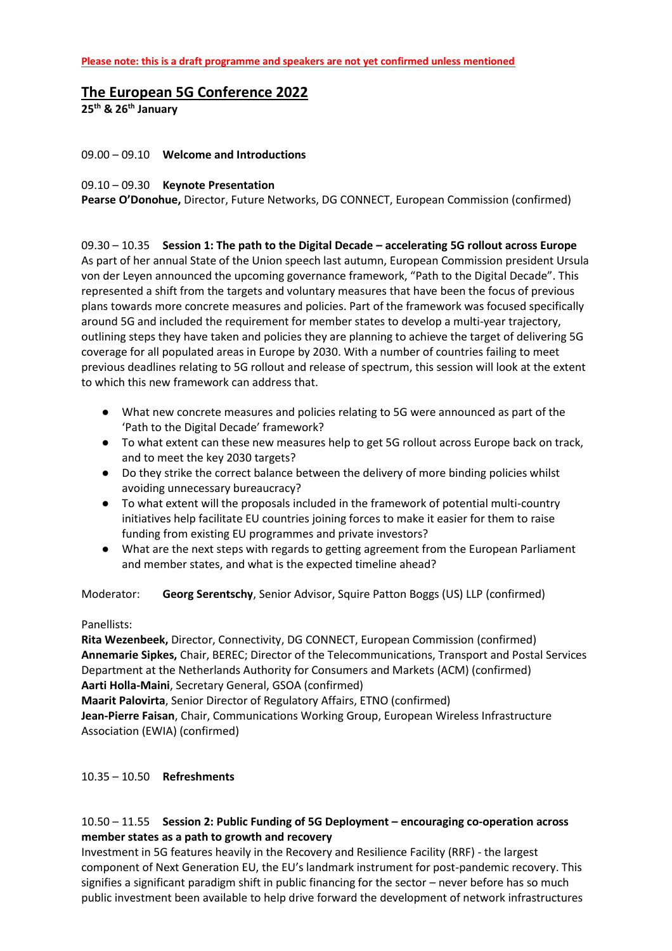# **The European 5G Conference 2022**

**25th & 26th January** 

#### 09.00 – 09.10 **Welcome and Introductions**

#### 09.10 – 09.30 **Keynote Presentation**

**Pearse O'Donohue,** Director, Future Networks, DG CONNECT, European Commission (confirmed)

09.30 – 10.35 **Session 1: The path to the Digital Decade – accelerating 5G rollout across Europe** As part of her annual State of the Union speech last autumn, European Commission president Ursula von der Leyen announced the upcoming governance framework, "Path to the Digital Decade". This represented a shift from the targets and voluntary measures that have been the focus of previous plans towards more concrete measures and policies. Part of the framework was focused specifically around 5G and included the requirement for member states to develop a multi-year trajectory, outlining steps they have taken and policies they are planning to achieve the target of delivering 5G coverage for all populated areas in Europe by 2030. With a number of countries failing to meet previous deadlines relating to 5G rollout and release of spectrum, this session will look at the extent to which this new framework can address that.

- What new concrete measures and policies relating to 5G were announced as part of the 'Path to the Digital Decade' framework?
- To what extent can these new measures help to get 5G rollout across Europe back on track, and to meet the key 2030 targets?
- Do they strike the correct balance between the delivery of more binding policies whilst avoiding unnecessary bureaucracy?
- To what extent will the proposals included in the framework of potential multi-country initiatives help facilitate EU countries joining forces to make it easier for them to raise funding from existing EU programmes and private investors?
- What are the next steps with regards to getting agreement from the European Parliament and member states, and what is the expected timeline ahead?

Moderator: **Georg Serentschy**, Senior Advisor, Squire Patton Boggs (US) LLP (confirmed)

#### Panellists:

**Rita Wezenbeek,** Director, Connectivity, DG CONNECT, European Commission (confirmed) **Annemarie Sipkes,** Chair, BEREC; Director of the Telecommunications, Transport and Postal Services Department at the Netherlands Authority for Consumers and Markets (ACM) (confirmed) **Aarti Holla-Maini**, Secretary General, GSOA (confirmed)

**Maarit Palovirta**, Senior Director of Regulatory Affairs, ETNO (confirmed) **Jean-Pierre Faisan**, Chair, Communications Working Group, European Wireless Infrastructure Association (EWIA) (confirmed)

10.35 – 10.50 **Refreshments**

### 10.50 – 11.55 **Session 2: Public Funding of 5G Deployment – encouraging co-operation across member states as a path to growth and recovery**

Investment in 5G features heavily in the Recovery and Resilience Facility (RRF) - the largest component of Next Generation EU, the EU's landmark instrument for post-pandemic recovery. This signifies a significant paradigm shift in public financing for the sector – never before has so much public investment been available to help drive forward the development of network infrastructures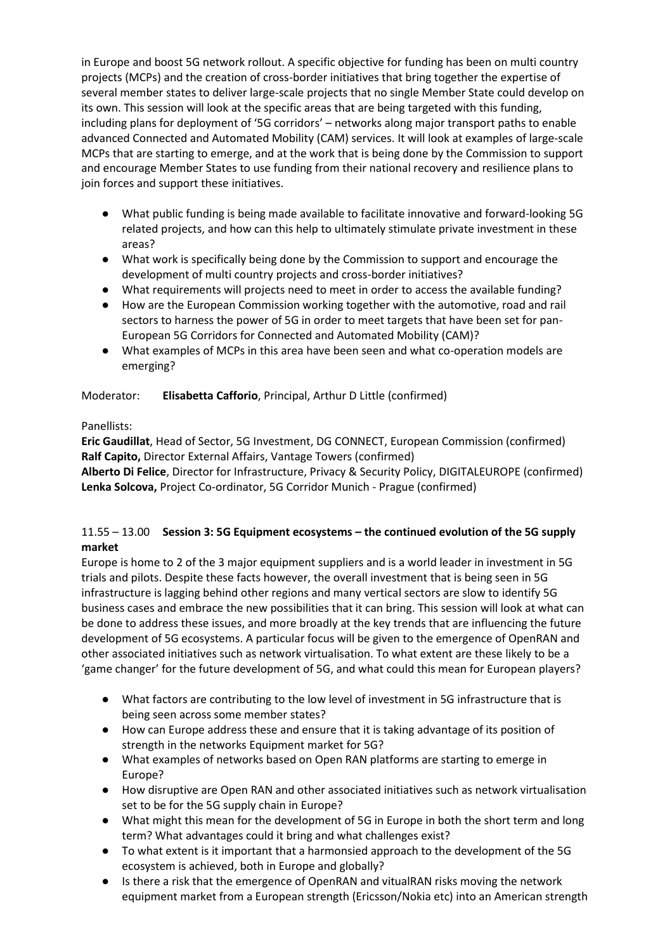in Europe and boost 5G network rollout. A specific objective for funding has been on multi country projects (MCPs) and the creation of cross-border initiatives that bring together the expertise of several member states to deliver large-scale projects that no single Member State could develop on its own. This session will look at the specific areas that are being targeted with this funding, including plans for deployment of '5G corridors' – networks along major transport paths to enable advanced Connected and Automated Mobility (CAM) services. It will look at examples of large-scale MCPs that are starting to emerge, and at the work that is being done by the Commission to support and encourage Member States to use funding from their national recovery and resilience plans to join forces and support these initiatives.

- What public funding is being made available to facilitate innovative and forward-looking 5G related projects, and how can this help to ultimately stimulate private investment in these areas?
- What work is specifically being done by the Commission to support and encourage the development of multi country projects and cross-border initiatives?
- What requirements will projects need to meet in order to access the available funding?
- How are the European Commission working together with the automotive, road and rail sectors to harness the power of 5G in order to meet targets that have been set for pan-European 5G Corridors for Connected and Automated Mobility (CAM)?
- What examples of MCPs in this area have been seen and what co-operation models are emerging?

## Moderator: **Elisabetta Cafforio**, Principal, Arthur D Little (confirmed)

## Panellists:

**Eric Gaudillat**, Head of Sector, 5G Investment, DG CONNECT, European Commission (confirmed) **Ralf Capito,** Director External Affairs, Vantage Towers (confirmed)

**Alberto Di Felice**, Director for Infrastructure, Privacy & Security Policy, DIGITALEUROPE (confirmed) **Lenka Solcova,** Project Co-ordinator, 5G Corridor Munich - Prague (confirmed)

## 11.55 – 13.00 **Session 3: 5G Equipment ecosystems – the continued evolution of the 5G supply market**

Europe is home to 2 of the 3 major equipment suppliers and is a world leader in investment in 5G trials and pilots. Despite these facts however, the overall investment that is being seen in 5G infrastructure is lagging behind other regions and many vertical sectors are slow to identify 5G business cases and embrace the new possibilities that it can bring. This session will look at what can be done to address these issues, and more broadly at the key trends that are influencing the future development of 5G ecosystems. A particular focus will be given to the emergence of OpenRAN and other associated initiatives such as network virtualisation. To what extent are these likely to be a 'game changer' for the future development of 5G, and what could this mean for European players?

- What factors are contributing to the low level of investment in 5G infrastructure that is being seen across some member states?
- How can Europe address these and ensure that it is taking advantage of its position of strength in the networks Equipment market for 5G?
- What examples of networks based on Open RAN platforms are starting to emerge in Europe?
- How disruptive are Open RAN and other associated initiatives such as network virtualisation set to be for the 5G supply chain in Europe?
- What might this mean for the development of 5G in Europe in both the short term and long term? What advantages could it bring and what challenges exist?
- To what extent is it important that a harmonsied approach to the development of the 5G ecosystem is achieved, both in Europe and globally?
- Is there a risk that the emergence of OpenRAN and vitualRAN risks moving the network equipment market from a European strength (Ericsson/Nokia etc) into an American strength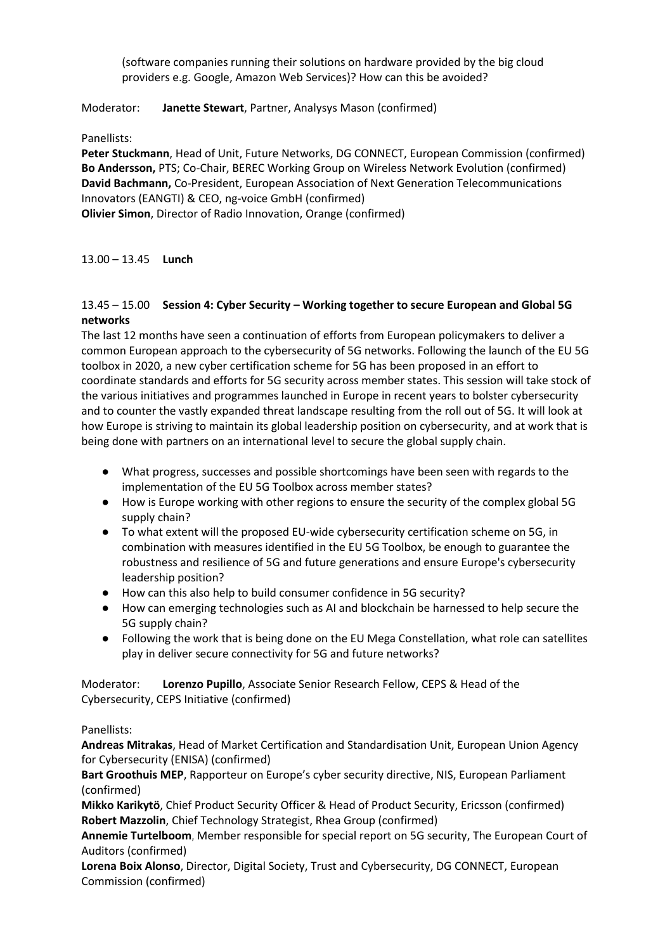(software companies running their solutions on hardware provided by the big cloud providers e.g. Google, Amazon Web Services)? How can this be avoided?

### Moderator: **Janette Stewart**, Partner, Analysys Mason (confirmed)

Panellists:

**Peter Stuckmann**, Head of Unit, Future Networks, DG CONNECT, European Commission (confirmed) **Bo Andersson,** PTS; Co-Chair, BEREC Working Group on Wireless Network Evolution (confirmed) **David Bachmann,** Co-President, European Association of Next Generation Telecommunications Innovators (EANGTI) & CEO, ng-voice GmbH (confirmed) **Olivier Simon**, Director of Radio Innovation, Orange (confirmed)

13.00 – 13.45 **Lunch**

### 13.45 – 15.00 **Session 4: Cyber Security – Working together to secure European and Global 5G networks**

The last 12 months have seen a continuation of efforts from European policymakers to deliver a common European approach to the cybersecurity of 5G networks. Following the launch of the EU 5G toolbox in 2020, a new cyber certification scheme for 5G has been proposed in an effort to coordinate standards and efforts for 5G security across member states. This session will take stock of the various initiatives and programmes launched in Europe in recent years to bolster cybersecurity and to counter the vastly expanded threat landscape resulting from the roll out of 5G. It will look at how Europe is striving to maintain its global leadership position on cybersecurity, and at work that is being done with partners on an international level to secure the global supply chain.

- What progress, successes and possible shortcomings have been seen with regards to the implementation of the EU 5G Toolbox across member states?
- How is Europe working with other regions to ensure the security of the complex global 5G supply chain?
- To what extent will the proposed EU-wide cybersecurity certification scheme on 5G, in combination with measures identified in the EU 5G Toolbox, be enough to guarantee the robustness and resilience of 5G and future generations and ensure Europe's cybersecurity leadership position?
- How can this also help to build consumer confidence in 5G security?
- How can emerging technologies such as AI and blockchain be harnessed to help secure the 5G supply chain?
- Following the work that is being done on the EU Mega Constellation, what role can satellites play in deliver secure connectivity for 5G and future networks?

Moderator: **Lorenzo Pupillo**, Associate Senior Research Fellow, CEPS & Head of the Cybersecurity, CEPS Initiative (confirmed)

## Panellists:

**Andreas Mitrakas**, Head of Market Certification and Standardisation Unit, European Union Agency for Cybersecurity (ENISA) (confirmed)

**Bart Groothuis MEP**, Rapporteur on Europe's cyber security directive, NIS, European Parliament (confirmed)

**Mikko Karikytö**, Chief Product Security Officer & Head of Product Security, Ericsson (confirmed) **Robert Mazzolin**, Chief Technology Strategist, Rhea Group (confirmed)

**Annemie Turtelboom**, Member responsible for special report on 5G security, The European Court of Auditors (confirmed)

**Lorena Boix Alonso**, Director, Digital Society, Trust and Cybersecurity, DG CONNECT, European Commission (confirmed)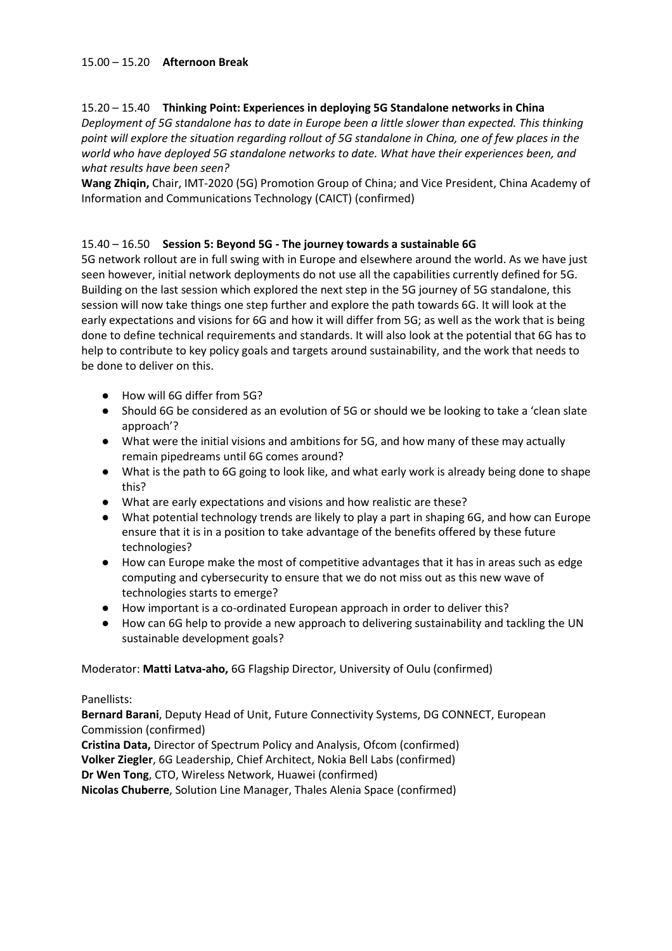## 15.00 – 15.20 **Afternoon Break**

#### 15.20 – 15.40 **Thinking Point: Experiences in deploying 5G Standalone networks in China**

*Deployment of 5G standalone has to date in Europe been a little slower than expected. This thinking point will explore the situation regarding rollout of 5G standalone in China, one of few places in the world who have deployed 5G standalone networks to date. What have their experiences been, and what results have been seen?*

**Wang Zhiqin,** Chair, IMT-2020 (5G) Promotion Group of China; and Vice President, China Academy of Information and Communications Technology (CAICT) (confirmed)

### 15.40 – 16.50 **Session 5: Beyond 5G - The journey towards a sustainable 6G**

5G network rollout are in full swing with in Europe and elsewhere around the world. As we have just seen however, initial network deployments do not use all the capabilities currently defined for 5G. Building on the last session which explored the next step in the 5G journey of 5G standalone, this session will now take things one step further and explore the path towards 6G. It will look at the early expectations and visions for 6G and how it will differ from 5G; as well as the work that is being done to define technical requirements and standards. It will also look at the potential that 6G has to help to contribute to key policy goals and targets around sustainability, and the work that needs to be done to deliver on this.

- How will 6G differ from 5G?
- Should 6G be considered as an evolution of 5G or should we be looking to take a 'clean slate approach'?
- What were the initial visions and ambitions for 5G, and how many of these may actually remain pipedreams until 6G comes around?
- What is the path to 6G going to look like, and what early work is already being done to shape this?
- What are early expectations and visions and how realistic are these?
- What potential technology trends are likely to play a part in shaping 6G, and how can Europe ensure that it is in a position to take advantage of the benefits offered by these future technologies?
- How can Europe make the most of competitive advantages that it has in areas such as edge computing and cybersecurity to ensure that we do not miss out as this new wave of technologies starts to emerge?
- How important is a co-ordinated European approach in order to deliver this?
- How can 6G help to provide a new approach to delivering sustainability and tackling the UN sustainable development goals?

Moderator: **Matti Latva-aho,** 6G Flagship Director, University of Oulu (confirmed)

#### Panellists:

**Bernard Barani**, Deputy Head of Unit, Future Connectivity Systems, DG CONNECT, European Commission (confirmed)

**Cristina Data,** Director of Spectrum Policy and Analysis, Ofcom (confirmed) **Volker Ziegler**, 6G Leadership, Chief Architect, Nokia Bell Labs (confirmed) **Dr Wen Tong**, CTO, Wireless Network, Huawei (confirmed)

**Nicolas Chuberre**, Solution Line Manager, Thales Alenia Space (confirmed)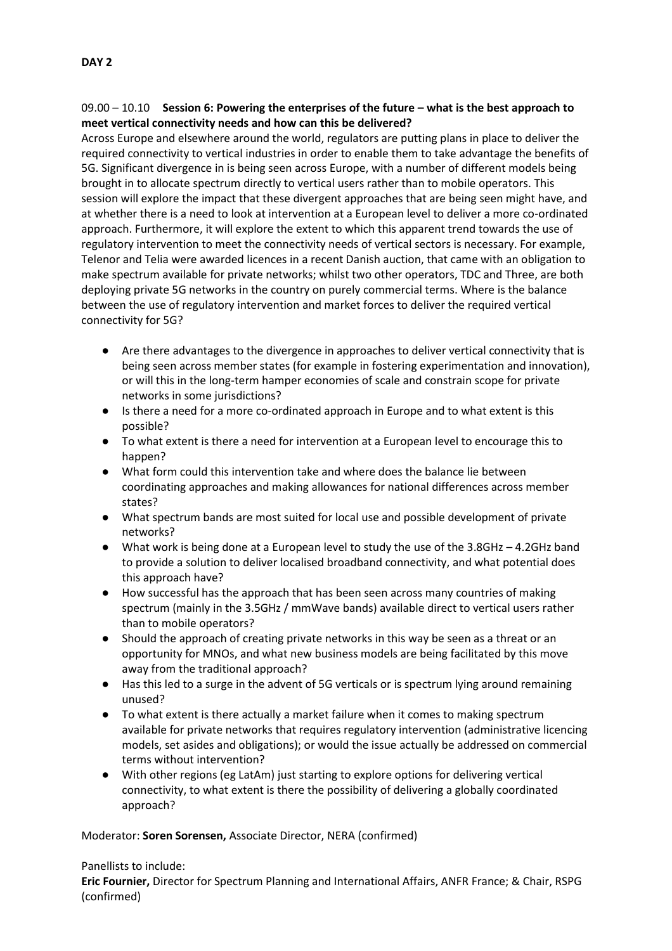## 09.00 – 10.10 **Session 6: Powering the enterprises of the future – what is the best approach to meet vertical connectivity needs and how can this be delivered?**

Across Europe and elsewhere around the world, regulators are putting plans in place to deliver the required connectivity to vertical industries in order to enable them to take advantage the benefits of 5G. Significant divergence in is being seen across Europe, with a number of different models being brought in to allocate spectrum directly to vertical users rather than to mobile operators. This session will explore the impact that these divergent approaches that are being seen might have, and at whether there is a need to look at intervention at a European level to deliver a more co-ordinated approach. Furthermore, it will explore the extent to which this apparent trend towards the use of regulatory intervention to meet the connectivity needs of vertical sectors is necessary. For example, Telenor and Telia were awarded licences in a recent Danish auction, that came with an obligation to make spectrum available for private networks; whilst two other operators, TDC and Three, are both deploying private 5G networks in the country on purely commercial terms. Where is the balance between the use of regulatory intervention and market forces to deliver the required vertical connectivity for 5G?

- Are there advantages to the divergence in approaches to deliver vertical connectivity that is being seen across member states (for example in fostering experimentation and innovation), or will this in the long-term hamper economies of scale and constrain scope for private networks in some jurisdictions?
- Is there a need for a more co-ordinated approach in Europe and to what extent is this possible?
- To what extent is there a need for intervention at a European level to encourage this to happen?
- What form could this intervention take and where does the balance lie between coordinating approaches and making allowances for national differences across member states?
- What spectrum bands are most suited for local use and possible development of private networks?
- What work is being done at a European level to study the use of the 3.8GHz 4.2GHz band to provide a solution to deliver localised broadband connectivity, and what potential does this approach have?
- How successful has the approach that has been seen across many countries of making spectrum (mainly in the 3.5GHz / mmWave bands) available direct to vertical users rather than to mobile operators?
- Should the approach of creating private networks in this way be seen as a threat or an opportunity for MNOs, and what new business models are being facilitated by this move away from the traditional approach?
- Has this led to a surge in the advent of 5G verticals or is spectrum lying around remaining unused?
- To what extent is there actually a market failure when it comes to making spectrum available for private networks that requires regulatory intervention (administrative licencing models, set asides and obligations); or would the issue actually be addressed on commercial terms without intervention?
- With other regions (eg LatAm) just starting to explore options for delivering vertical connectivity, to what extent is there the possibility of delivering a globally coordinated approach?

## Moderator: **Soren Sorensen,** Associate Director, NERA (confirmed)

#### Panellists to include:

**Eric Fournier,** Director for Spectrum Planning and International Affairs, ANFR France; & Chair, RSPG (confirmed)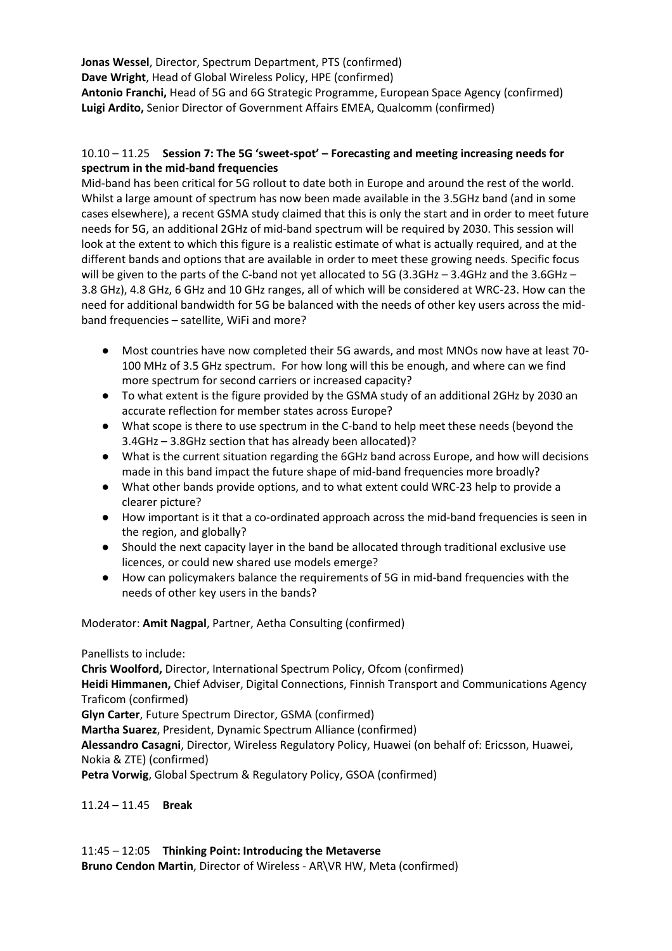**Jonas Wessel**, Director, Spectrum Department, PTS (confirmed) **Dave Wright**, Head of Global Wireless Policy, HPE (confirmed) **Antonio Franchi,** Head of 5G and 6G Strategic Programme, European Space Agency (confirmed) **Luigi Ardito,** Senior Director of Government Affairs EMEA, Qualcomm (confirmed)

### 10.10 – 11.25 **Session 7: The 5G 'sweet-spot' – Forecasting and meeting increasing needs for spectrum in the mid-band frequencies**

Mid-band has been critical for 5G rollout to date both in Europe and around the rest of the world. Whilst a large amount of spectrum has now been made available in the 3.5GHz band (and in some cases elsewhere), a recent GSMA study claimed that this is only the start and in order to meet future needs for 5G, an additional 2GHz of mid-band spectrum will be required by 2030. This session will look at the extent to which this figure is a realistic estimate of what is actually required, and at the different bands and options that are available in order to meet these growing needs. Specific focus will be given to the parts of the C-band not yet allocated to 5G (3.3GHz – 3.4GHz and the 3.6GHz – 3.8 GHz), 4.8 GHz, 6 GHz and 10 GHz ranges, all of which will be considered at WRC-23. How can the need for additional bandwidth for 5G be balanced with the needs of other key users across the midband frequencies – satellite, WiFi and more?

- Most countries have now completed their 5G awards, and most MNOs now have at least 70-100 MHz of 3.5 GHz spectrum. For how long will this be enough, and where can we find more spectrum for second carriers or increased capacity?
- To what extent is the figure provided by the GSMA study of an additional 2GHz by 2030 an accurate reflection for member states across Europe?
- What scope is there to use spectrum in the C-band to help meet these needs (beyond the 3.4GHz – 3.8GHz section that has already been allocated)?
- What is the current situation regarding the 6GHz band across Europe, and how will decisions made in this band impact the future shape of mid-band frequencies more broadly?
- What other bands provide options, and to what extent could WRC-23 help to provide a clearer picture?
- How important is it that a co-ordinated approach across the mid-band frequencies is seen in the region, and globally?
- Should the next capacity layer in the band be allocated through traditional exclusive use licences, or could new shared use models emerge?
- How can policymakers balance the requirements of 5G in mid-band frequencies with the needs of other key users in the bands?

Moderator: **Amit Nagpal**, Partner, Aetha Consulting (confirmed)

Panellists to include:

**Chris Woolford,** Director, International Spectrum Policy, Ofcom (confirmed) **Heidi Himmanen,** Chief Adviser, Digital Connections, Finnish Transport and Communications Agency Traficom (confirmed) **Glyn Carter**, Future Spectrum Director, GSMA (confirmed)

**Martha Suarez**, President, Dynamic Spectrum Alliance (confirmed)

**Alessandro Casagni**, Director, Wireless Regulatory Policy, Huawei (on behalf of: Ericsson, Huawei, Nokia & ZTE) (confirmed)

**Petra Vorwig**, Global Spectrum & Regulatory Policy, GSOA (confirmed)

11.24 – 11.45 **Break**

11:45 – 12:05 **Thinking Point: Introducing the Metaverse Bruno Cendon Martin**, Director of Wireless - AR\VR HW, Meta (confirmed)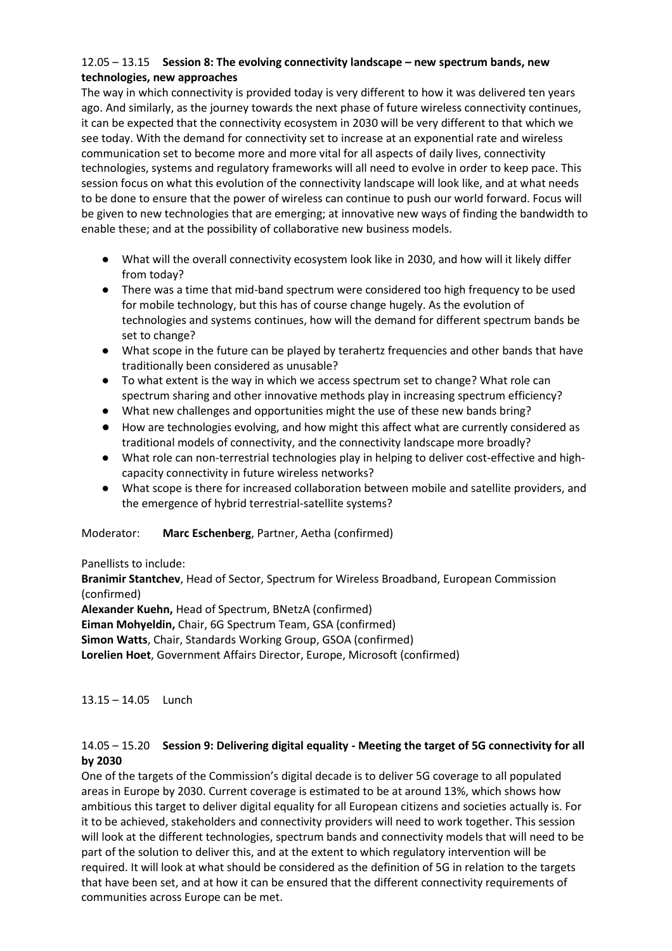## 12.05 – 13.15 **Session 8: The evolving connectivity landscape – new spectrum bands, new technologies, new approaches**

The way in which connectivity is provided today is very different to how it was delivered ten years ago. And similarly, as the journey towards the next phase of future wireless connectivity continues, it can be expected that the connectivity ecosystem in 2030 will be very different to that which we see today. With the demand for connectivity set to increase at an exponential rate and wireless communication set to become more and more vital for all aspects of daily lives, connectivity technologies, systems and regulatory frameworks will all need to evolve in order to keep pace. This session focus on what this evolution of the connectivity landscape will look like, and at what needs to be done to ensure that the power of wireless can continue to push our world forward. Focus will be given to new technologies that are emerging; at innovative new ways of finding the bandwidth to enable these; and at the possibility of collaborative new business models.

- What will the overall connectivity ecosystem look like in 2030, and how will it likely differ from today?
- There was a time that mid-band spectrum were considered too high frequency to be used for mobile technology, but this has of course change hugely. As the evolution of technologies and systems continues, how will the demand for different spectrum bands be set to change?
- What scope in the future can be played by terahertz frequencies and other bands that have traditionally been considered as unusable?
- To what extent is the way in which we access spectrum set to change? What role can spectrum sharing and other innovative methods play in increasing spectrum efficiency?
- What new challenges and opportunities might the use of these new bands bring?
- How are technologies evolving, and how might this affect what are currently considered as traditional models of connectivity, and the connectivity landscape more broadly?
- What role can non-terrestrial technologies play in helping to deliver cost-effective and highcapacity connectivity in future wireless networks?
- What scope is there for increased collaboration between mobile and satellite providers, and the emergence of hybrid terrestrial-satellite systems?

Moderator: **Marc Eschenberg**, Partner, Aetha (confirmed)

Panellists to include:

**Branimir Stantchev**, Head of Sector, Spectrum for Wireless Broadband, European Commission (confirmed)

**Alexander Kuehn,** Head of Spectrum, BNetzA (confirmed)

**Eiman Mohyeldin,** Chair, 6G Spectrum Team, GSA (confirmed)

**Simon Watts**, Chair, Standards Working Group, GSOA (confirmed)

**Lorelien Hoet**, Government Affairs Director, Europe, Microsoft (confirmed)

13.15 – 14.05 Lunch

## 14.05 – 15.20 **Session 9: Delivering digital equality - Meeting the target of 5G connectivity for all by 2030**

One of the targets of the Commission's digital decade is to deliver 5G coverage to all populated areas in Europe by 2030. Current coverage is estimated to be at around 13%, which shows how ambitious this target to deliver digital equality for all European citizens and societies actually is. For it to be achieved, stakeholders and connectivity providers will need to work together. This session will look at the different technologies, spectrum bands and connectivity models that will need to be part of the solution to deliver this, and at the extent to which regulatory intervention will be required. It will look at what should be considered as the definition of 5G in relation to the targets that have been set, and at how it can be ensured that the different connectivity requirements of communities across Europe can be met.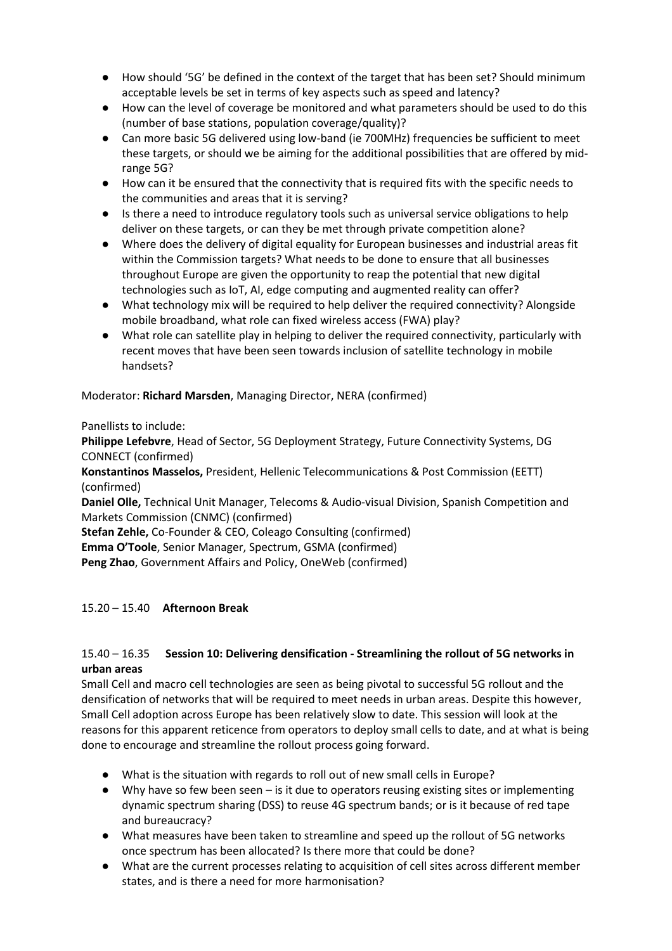- How should '5G' be defined in the context of the target that has been set? Should minimum acceptable levels be set in terms of key aspects such as speed and latency?
- How can the level of coverage be monitored and what parameters should be used to do this (number of base stations, population coverage/quality)?
- Can more basic 5G delivered using low-band (ie 700MHz) frequencies be sufficient to meet these targets, or should we be aiming for the additional possibilities that are offered by midrange 5G?
- How can it be ensured that the connectivity that is required fits with the specific needs to the communities and areas that it is serving?
- Is there a need to introduce regulatory tools such as universal service obligations to help deliver on these targets, or can they be met through private competition alone?
- Where does the delivery of digital equality for European businesses and industrial areas fit within the Commission targets? What needs to be done to ensure that all businesses throughout Europe are given the opportunity to reap the potential that new digital technologies such as IoT, AI, edge computing and augmented reality can offer?
- What technology mix will be required to help deliver the required connectivity? Alongside mobile broadband, what role can fixed wireless access (FWA) play?
- What role can satellite play in helping to deliver the required connectivity, particularly with recent moves that have been seen towards inclusion of satellite technology in mobile handsets?

Moderator: **Richard Marsden**, Managing Director, NERA (confirmed)

Panellists to include:

**Philippe Lefebvre**, Head of Sector, 5G Deployment Strategy, Future Connectivity Systems, DG CONNECT (confirmed)

**Konstantinos Masselos,** President, Hellenic Telecommunications & Post Commission (EETT) (confirmed)

**Daniel Olle,** Technical Unit Manager, Telecoms & Audio-visual Division, Spanish Competition and Markets Commission (CNMC) (confirmed)

**Stefan Zehle,** Co-Founder & CEO, Coleago Consulting (confirmed)

**Emma O'Toole**, Senior Manager, Spectrum, GSMA (confirmed)

**Peng Zhao**, Government Affairs and Policy, OneWeb (confirmed)

# 15.20 – 15.40 **Afternoon Break**

## 15.40 – 16.35 **Session 10: Delivering densification - Streamlining the rollout of 5G networks in urban areas**

Small Cell and macro cell technologies are seen as being pivotal to successful 5G rollout and the densification of networks that will be required to meet needs in urban areas. Despite this however, Small Cell adoption across Europe has been relatively slow to date. This session will look at the reasons for this apparent reticence from operators to deploy small cells to date, and at what is being done to encourage and streamline the rollout process going forward.

- What is the situation with regards to roll out of new small cells in Europe?
- Why have so few been seen is it due to operators reusing existing sites or implementing dynamic spectrum sharing (DSS) to reuse 4G spectrum bands; or is it because of red tape and bureaucracy?
- What measures have been taken to streamline and speed up the rollout of 5G networks once spectrum has been allocated? Is there more that could be done?
- What are the current processes relating to acquisition of cell sites across different member states, and is there a need for more harmonisation?